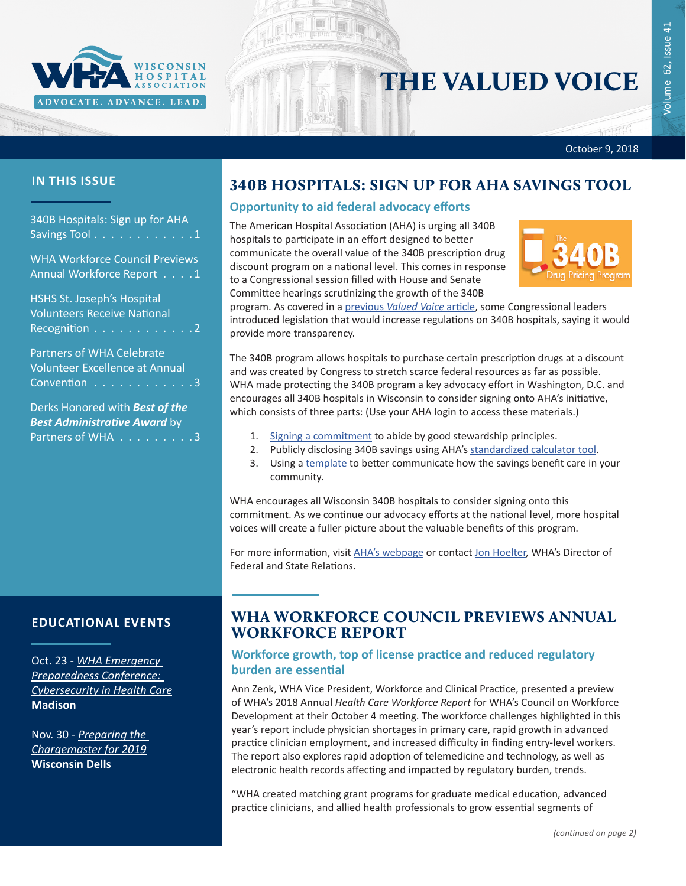

# THE VALUED VOICE

October 9, 2018

## **IN THIS ISSUE**

340B Hospitals: Sign up for AHA Savings Tool . . . . . . . . . . . . 1

WHA Workforce Council Previews Annual Workforce Report . . . . 1

[HSHS St. Joseph's Hospital](#page-1-0)  [Volunteers Receive National](#page-1-0)  Recognition . . . . . . . . . . . [. 2](#page-1-0)

[Partners of WHA Celebrate](#page-2-0)  [Volunteer Excellence at Annual](#page-2-0)  Convention . . . . . . <del>. . . . . . .</del> 3

[Derks Honored with](#page-2-0) *Best of the [Best Administrative Award](#page-2-0)* by Partners of WHA . . . . . . . . . 3

## **EDUCATIONAL EVENTS**

Oct. 23 - *[WHA Emergency](http://www.cvent.com/events/18l-emergencyprep-1023/event-summary-78a903d19bdd4f23a620c9edfb2b6861.aspx)  [Preparedness Conference:](http://www.cvent.com/events/18l-emergencyprep-1023/event-summary-78a903d19bdd4f23a620c9edfb2b6861.aspx)  [Cybersecurity in Health Care](http://www.cvent.com/events/18l-emergencyprep-1023/event-summary-78a903d19bdd4f23a620c9edfb2b6861.aspx)* **Madison**

Nov. 30 - *[Preparing the](http://www.cvent.com/events/18l-chargemaster-1130/event-summary-52377b96df1f4e7e85f296ae5dbc59db.aspx)  [Chargemaster for 2019](http://www.cvent.com/events/18l-chargemaster-1130/event-summary-52377b96df1f4e7e85f296ae5dbc59db.aspx)* **Wisconsin Dells**

## 340B HOSPITALS: SIGN UP FOR AHA SAVINGS TOOL

### **Opportunity to aid federal advocacy efforts**

The American Hospital Association (AHA) is urging all 340B hospitals to participate in an effort designed to better communicate the overall value of the 340B prescription drug discount program on a national level. This comes in response to a Congressional session filled with House and Senate Committee hearings scrutinizing the growth of the 340B



program. As covered in a previous *[Valued Voice](https://www.wha.org/WisconsinHospitalAssociation/media/WHANewsLetters/2018PDF/WHA-Newsletter-7-17-2018.pdf#page=2)* article, some Congressional leaders introduced legislation that would increase regulations on 340B hospitals, saying it would provide more transparency.

The 340B program allows hospitals to purchase certain prescription drugs at a discount and was created by Congress to stretch scarce federal resources as far as possible. WHA made protecting the 340B program a key advocacy effort in Washington, D.C. and encourages all 340B hospitals in Wisconsin to consider signing onto AHA's initiative, which consists of three parts: (Use your AHA login to access these materials.)

- 1. [Signing a commitment](https://www.aha.org/form/340b-hospital-commitment-to-good) to abide by good stewardship principles.
- 2. Publicly disclosing 340B savings using AHA's [standardized calculator tool](https://www.aha.org/initiativescampaigns/2018-09-13-template-calculating-estimated-340b-program-savings).
- 3. Using a [template](https://www.aha.org/initiativescampaigns/2018-09-13-template-communicate-value-340b-program) to better communicate how the savings benefit care in your community.

WHA encourages all Wisconsin 340B hospitals to consider signing onto this commitment. As we continue our advocacy efforts at the national level, more hospital voices will create a fuller picture about the valuable benefits of this program.

For more information, visit [AHA's webpage](https://www.aha.org/initiativescampaigns/2018-09-13-340b-hospital-commitment-good-stewardship-principles) or contact [Jon Hoelter](mailto:jhoelter@wha.org), WHA's Director of Federal and State Relations.

## WHA WORKFORCE COUNCIL PREVIEWS ANNUAL WORKFORCE REPORT

## **Workforce growth, top of license practice and reduced regulatory burden are essential**

Ann Zenk, WHA Vice President, Workforce and Clinical Practice, presented a preview of WHA's 2018 Annual *Health Care Workforce Report* for WHA's Council on Workforce Development at their October 4 meeting. The workforce challenges highlighted in this year's report include physician shortages in primary care, rapid growth in advanced practice clinician employment, and increased difficulty in finding entry-level workers. The report also explores rapid adoption of telemedicine and technology, as well as electronic health records affecting and impacted by regulatory burden, trends.

"WHA created matching grant programs for graduate medical education, advanced practice clinicians, and allied health professionals to grow essential segments of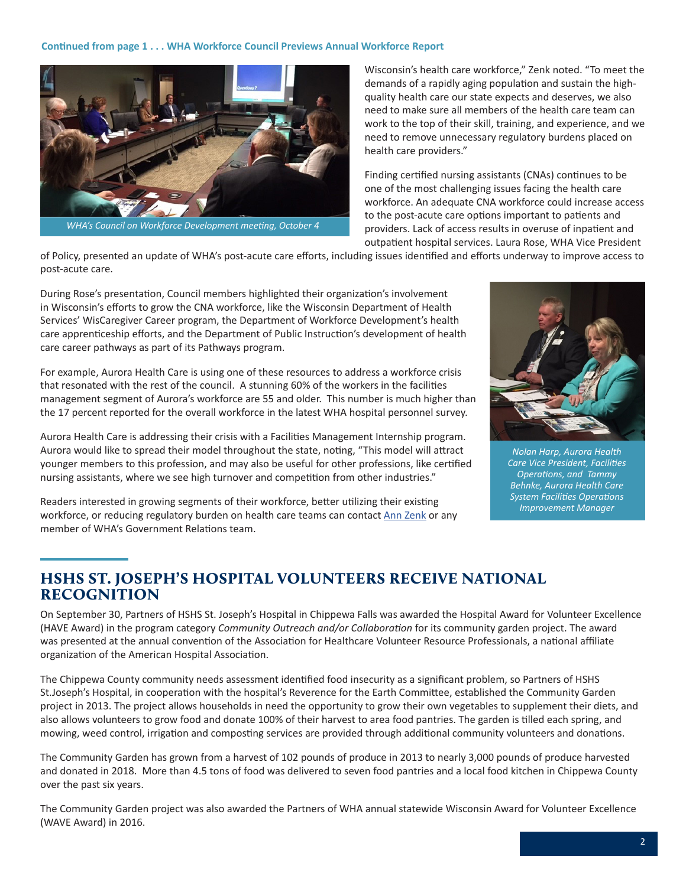### <span id="page-1-0"></span>**Continued from page 1 . . . WHA Workforce Council Previews Annual Workforce Report**



*WHA's Council on Workforce Development meeting, October 4* 

Wisconsin's health care workforce," Zenk noted. "To meet the demands of a rapidly aging population and sustain the highquality health care our state expects and deserves, we also need to make sure all members of the health care team can work to the top of their skill, training, and experience, and we need to remove unnecessary regulatory burdens placed on health care providers."

Finding certified nursing assistants (CNAs) continues to be one of the most challenging issues facing the health care workforce. An adequate CNA workforce could increase access to the post-acute care options important to patients and providers. Lack of access results in overuse of inpatient and outpatient hospital services. Laura Rose, WHA Vice President

of Policy, presented an update of WHA's post-acute care efforts, including issues identified and efforts underway to improve access to post-acute care.

During Rose's presentation, Council members highlighted their organization's involvement in Wisconsin's efforts to grow the CNA workforce, like the Wisconsin Department of Health Services' WisCaregiver Career program, the Department of Workforce Development's health care apprenticeship efforts, and the Department of Public Instruction's development of health care career pathways as part of its Pathways program.

For example, Aurora Health Care is using one of these resources to address a workforce crisis that resonated with the rest of the council. A stunning 60% of the workers in the facilities management segment of Aurora's workforce are 55 and older. This number is much higher than the 17 percent reported for the overall workforce in the latest WHA hospital personnel survey.

Aurora Health Care is addressing their crisis with a Facilities Management Internship program. Aurora would like to spread their model throughout the state, noting, "This model will attract younger members to this profession, and may also be useful for other professions, like certified nursing assistants, where we see high turnover and competition from other industries."

Readers interested in growing segments of their workforce, better utilizing their existing workforce, or reducing regulatory burden on health care teams can contact [Ann Zenk](mailto:azenk@wha.org) or any member of WHA's Government Relations team.



*Nolan Harp, Aurora Health Care Vice President, Facilities Operations, and Tammy Behnke, Aurora Health Care System Facilities Operations Improvement Manager*

# HSHS ST. JOSEPH'S HOSPITAL VOLUNTEERS RECEIVE NATIONAL RECOGNITION

On September 30, Partners of HSHS St. Joseph's Hospital in Chippewa Falls was awarded the Hospital Award for Volunteer Excellence (HAVE Award) in the program category *Community Outreach and/or Collaboration* for its community garden project. The award was presented at the annual convention of the Association for Healthcare Volunteer Resource Professionals, a national affiliate organization of the American Hospital Association.

The Chippewa County community needs assessment identified food insecurity as a significant problem, so Partners of HSHS St.Joseph's Hospital, in cooperation with the hospital's Reverence for the Earth Committee, established the Community Garden project in 2013. The project allows households in need the opportunity to grow their own vegetables to supplement their diets, and also allows volunteers to grow food and donate 100% of their harvest to area food pantries. The garden is tilled each spring, and mowing, weed control, irrigation and composting services are provided through additional community volunteers and donations.

The Community Garden has grown from a harvest of 102 pounds of produce in 2013 to nearly 3,000 pounds of produce harvested and donated in 2018. More than 4.5 tons of food was delivered to seven food pantries and a local food kitchen in Chippewa County over the past six years.

The Community Garden project was also awarded the Partners of WHA annual statewide Wisconsin Award for Volunteer Excellence (WAVE Award) in 2016.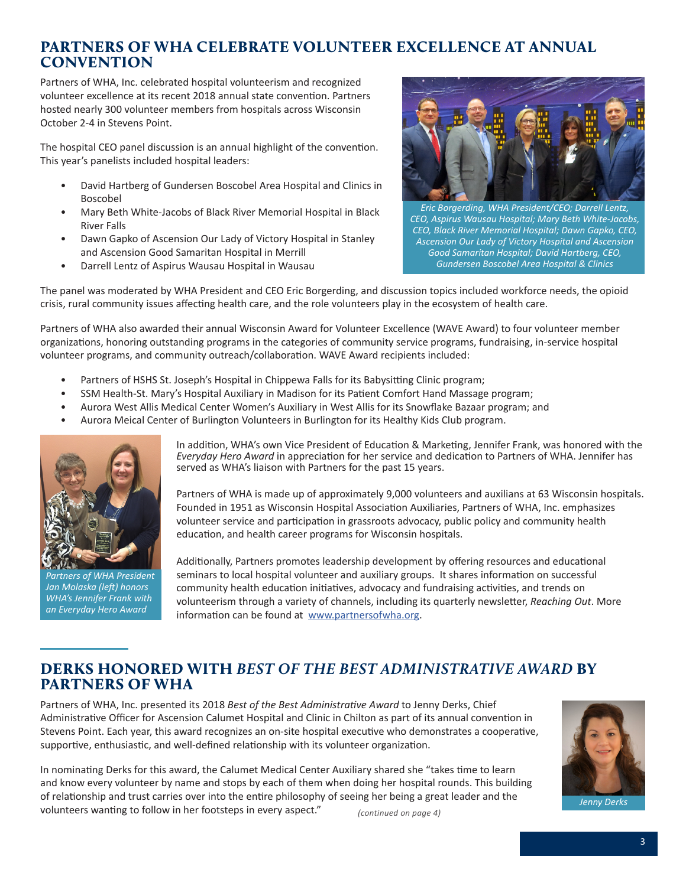# <span id="page-2-0"></span>PARTNERS OF WHA CELEBRATE VOLUNTEER EXCELLENCE AT ANNUAL **CONVENTION**

Partners of WHA, Inc. celebrated hospital volunteerism and recognized volunteer excellence at its recent 2018 annual state convention. Partners hosted nearly 300 volunteer members from hospitals across Wisconsin October 2-4 in Stevens Point.

The hospital CEO panel discussion is an annual highlight of the convention. This year's panelists included hospital leaders:

- David Hartberg of Gundersen Boscobel Area Hospital and Clinics in Boscobel
- Mary Beth White-Jacobs of Black River Memorial Hospital in Black River Falls
- Dawn Gapko of Ascension Our Lady of Victory Hospital in Stanley and Ascension Good Samaritan Hospital in Merrill
- Darrell Lentz of Aspirus Wausau Hospital in Wausau



*Eric Borgerding, WHA President/CEO; Darrell Lentz, CEO, Aspirus Wausau Hospital; Mary Beth White-Jacobs, CEO, Black River Memorial Hospital; Dawn Gapko, CEO, Ascension Our Lady of Victory Hospital and Ascension Good Samaritan Hospital; David Hartberg, CEO, Gundersen Boscobel Area Hospital & Clinics*

The panel was moderated by WHA President and CEO Eric Borgerding, and discussion topics included workforce needs, the opioid crisis, rural community issues affecting health care, and the role volunteers play in the ecosystem of health care.

Partners of WHA also awarded their annual Wisconsin Award for Volunteer Excellence (WAVE Award) to four volunteer member organizations, honoring outstanding programs in the categories of community service programs, fundraising, in-service hospital volunteer programs, and community outreach/collaboration. WAVE Award recipients included:

- Partners of HSHS St. Joseph's Hospital in Chippewa Falls for its Babysitting Clinic program;
- SSM Health-St. Mary's Hospital Auxiliary in Madison for its Patient Comfort Hand Massage program;
- Aurora West Allis Medical Center Women's Auxiliary in West Allis for its Snowflake Bazaar program; and
- Aurora Meical Center of Burlington Volunteers in Burlington for its Healthy Kids Club program.



*Partners of WHA President Jan Molaska (left) honors WHA's Jennifer Frank with an Everyday Hero Award*

In addition, WHA's own Vice President of Education & Marketing, Jennifer Frank, was honored with the *Everyday Hero Award* in appreciation for her service and dedication to Partners of WHA. Jennifer has served as WHA's liaison with Partners for the past 15 years.

Partners of WHA is made up of approximately 9,000 volunteers and auxilians at 63 Wisconsin hospitals. Founded in 1951 as Wisconsin Hospital Association Auxiliaries, Partners of WHA, Inc. emphasizes volunteer service and participation in grassroots advocacy, public policy and community health education, and health career programs for Wisconsin hospitals.

Additionally, Partners promotes leadership development by offering resources and educational seminars to local hospital volunteer and auxiliary groups. It shares information on successful community health education initiatives, advocacy and fundraising activities, and trends on volunteerism through a variety of channels, including its quarterly newsletter, *Reaching Out*. More information can be found at [www.partnersofwha.org](http://www.partnersofwha.org).

# DERKS HONORED WITH *BEST OF THE BEST ADMINISTRATIVE AWARD* BY PARTNERS OF WHA

Partners of WHA, Inc. presented its 2018 *Best of the Best Administrative Award* to Jenny Derks, Chief Administrative Officer for Ascension Calumet Hospital and Clinic in Chilton as part of its annual convention in Stevens Point. Each year, this award recognizes an on-site hospital executive who demonstrates a cooperative, supportive, enthusiastic, and well-defined relationship with its volunteer organization.

In nominating Derks for this award, the Calumet Medical Center Auxiliary shared she "takes time to learn and know every volunteer by name and stops by each of them when doing her hospital rounds. This building of relationship and trust carries over into the entire philosophy of seeing her being a great leader and the volunteers wanting to follow in her footsteps in every aspect." *(continued on page 4)*